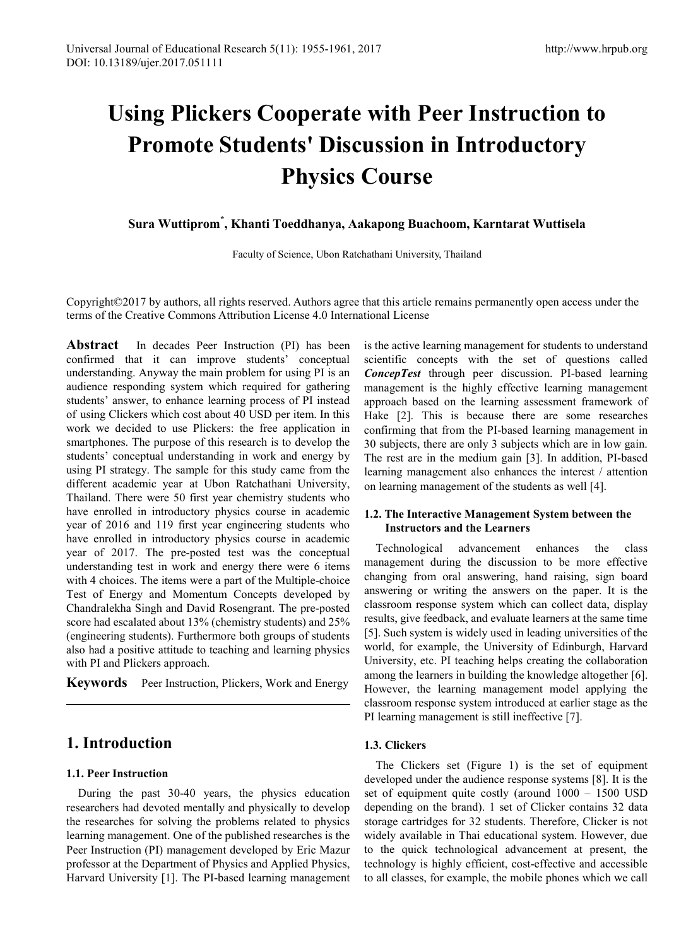# **Using Plickers Cooperate with Peer Instruction to Promote Students' Discussion in Introductory Physics Course**

**Sura Wuttiprom\* , Khanti Toeddhanya, Aakapong Buachoom, Karntarat Wuttisela**

Faculty of Science, Ubon Ratchathani University, Thailand

Copyright©2017 by authors, all rights reserved. Authors agree that this article remains permanently open access under the terms of the Creative Commons Attribution License 4.0 International License

**Abstract** In decades Peer Instruction (PI) has been confirmed that it can improve students' conceptual understanding. Anyway the main problem for using PI is an audience responding system which required for gathering students' answer, to enhance learning process of PI instead of using Clickers which cost about 40 USD per item. In this work we decided to use Plickers: the free application in smartphones. The purpose of this research is to develop the students' conceptual understanding in work and energy by using PI strategy. The sample for this study came from the different academic year at Ubon Ratchathani University, Thailand. There were 50 first year chemistry students who have enrolled in introductory physics course in academic year of 2016 and 119 first year engineering students who have enrolled in introductory physics course in academic year of 2017. The pre-posted test was the conceptual understanding test in work and energy there were 6 items with 4 choices. The items were a part of the Multiple-choice Test of Energy and Momentum Concepts developed by Chandralekha Singh and David Rosengrant. The pre-posted score had escalated about 13% (chemistry students) and 25% (engineering students). Furthermore both groups of students also had a positive attitude to teaching and learning physics with PI and Plickers approach.

**Keywords** Peer Instruction, Plickers, Work and Energy

# **1. Introduction**

#### **1.1. Peer Instruction**

During the past 30-40 years, the physics education researchers had devoted mentally and physically to develop the researches for solving the problems related to physics learning management. One of the published researches is the Peer Instruction (PI) management developed by Eric Mazur professor at the Department of Physics and Applied Physics, Harvard University [1]. The PI-based learning management is the active learning management for students to understand scientific concepts with the set of questions called *ConcepTest* through peer discussion. PI-based learning management is the highly effective learning management approach based on the learning assessment framework of Hake [2]. This is because there are some researches confirming that from the PI-based learning management in 30 subjects, there are only 3 subjects which are in low gain. The rest are in the medium gain [3]. In addition, PI-based learning management also enhances the interest / attention on learning management of the students as well [4].

#### **1.2. The Interactive Management System between the Instructors and the Learners**

Technological advancement enhances the class management during the discussion to be more effective changing from oral answering, hand raising, sign board answering or writing the answers on the paper. It is the classroom response system which can collect data, display results, give feedback, and evaluate learners at the same time [5]. Such system is widely used in leading universities of the world, for example, the University of Edinburgh, Harvard University, etc. PI teaching helps creating the collaboration among the learners in building the knowledge altogether [6]. However, the learning management model applying the classroom response system introduced at earlier stage as the PI learning management is still ineffective [7].

#### **1.3. Clickers**

The Clickers set (Figure 1) is the set of equipment developed under the audience response systems [8]. It is the set of equipment quite costly (around 1000 – 1500 USD depending on the brand). 1 set of Clicker contains 32 data storage cartridges for 32 students. Therefore, Clicker is not widely available in Thai educational system. However, due to the quick technological advancement at present, the technology is highly efficient, cost-effective and accessible to all classes, for example, the mobile phones which we call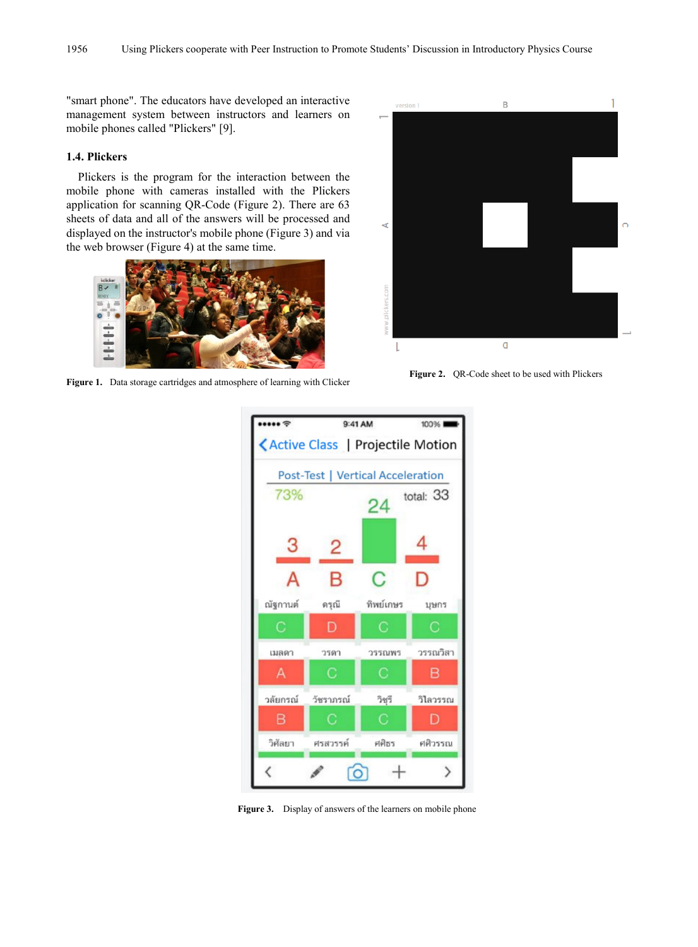"smart phone". The educators have developed an interactive management system between instructors and learners on mobile phones called "Plickers" [9].

#### **1.4. Plickers**

Plickers is the program for the interaction between the mobile phone with cameras installed with the Plickers application for scanning QR-Code (Figure 2). There are 63 sheets of data and all of the answers will be processed and displayed on the instructor's mobile phone (Figure 3) and via the web browser (Figure 4) at the same time.



**Figure 1.** Data storage cartridges and atmosphere of learning with Clicker **Figure 2.** QR-Code sheet to be used with Plickers





**Figure 3.** Display of answers of the learners on mobile phone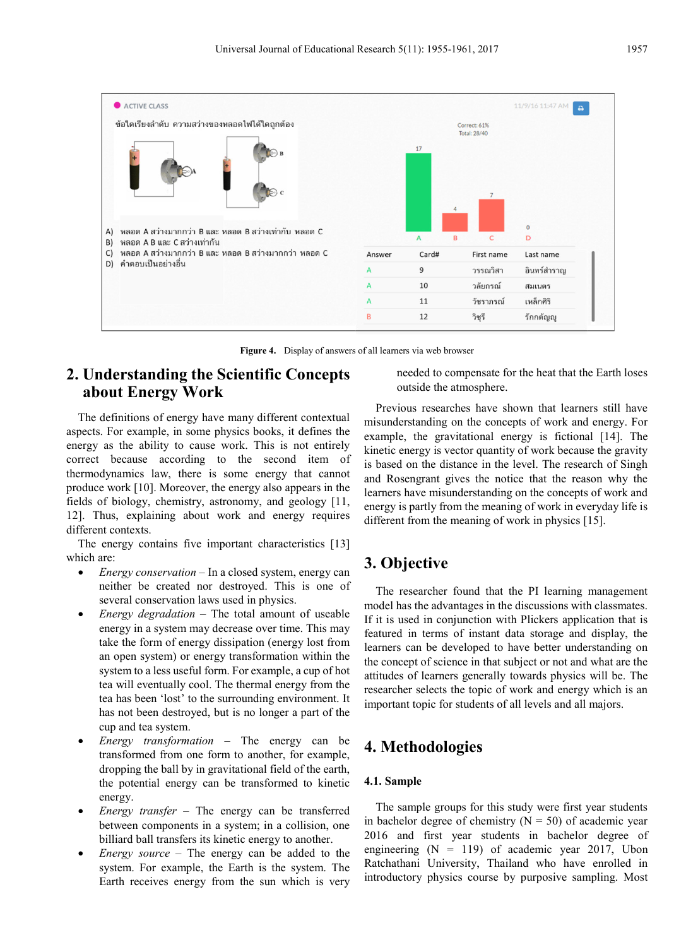

**Figure 4.** Display of answers of all learners via web browser

# **2. Understanding the Scientific Concepts about Energy Work**

The definitions of energy have many different contextual aspects. For example, in some physics books, it defines the energy as the ability to cause work. This is not entirely correct because according to the second item of thermodynamics law, there is some energy that cannot produce work [10]. Moreover, the energy also appears in the fields of biology, chemistry, astronomy, and geology [11, 12]. Thus, explaining about work and energy requires different contexts.

The energy contains five important characteristics [13] which are:

- *Energy conservation* In a closed system, energy can neither be created nor destroyed. This is one of several conservation laws used in physics.
- *Energy degradation* The total amount of useable energy in a system may decrease over time. This may take the form of energy dissipation (energy lost from an open system) or energy transformation within the system to a less useful form. For example, a cup of hot tea will eventually cool. The thermal energy from the tea has been 'lost' to the surrounding environment. It has not been destroyed, but is no longer a part of the cup and tea system.
- *Energy transformation* The energy can be transformed from one form to another, for example, dropping the ball by in gravitational field of the earth, the potential energy can be transformed to kinetic energy.
- *Energy transfer* The energy can be transferred between components in a system; in a collision, one billiard ball transfers its kinetic energy to another.
- *Energy source* The energy can be added to the system. For example, the Earth is the system. The Earth receives energy from the sun which is very

needed to compensate for the heat that the Earth loses outside the atmosphere.

Previous researches have shown that learners still have misunderstanding on the concepts of work and energy. For example, the gravitational energy is fictional [14]. The kinetic energy is vector quantity of work because the gravity is based on the distance in the level. The research of Singh and Rosengrant gives the notice that the reason why the learners have misunderstanding on the concepts of work and energy is partly from the meaning of work in everyday life is different from the meaning of work in physics [15].

## **3. Objective**

The researcher found that the PI learning management model has the advantages in the discussions with classmates. If it is used in conjunction with Plickers application that is featured in terms of instant data storage and display, the learners can be developed to have better understanding on the concept of science in that subject or not and what are the attitudes of learners generally towards physics will be. The researcher selects the topic of work and energy which is an important topic for students of all levels and all majors.

## **4. Methodologies**

#### **4.1. Sample**

The sample groups for this study were first year students in bachelor degree of chemistry  $(N = 50)$  of academic year 2016 and first year students in bachelor degree of engineering  $(N = 119)$  of academic year 2017, Ubon Ratchathani University, Thailand who have enrolled in introductory physics course by purposive sampling. Most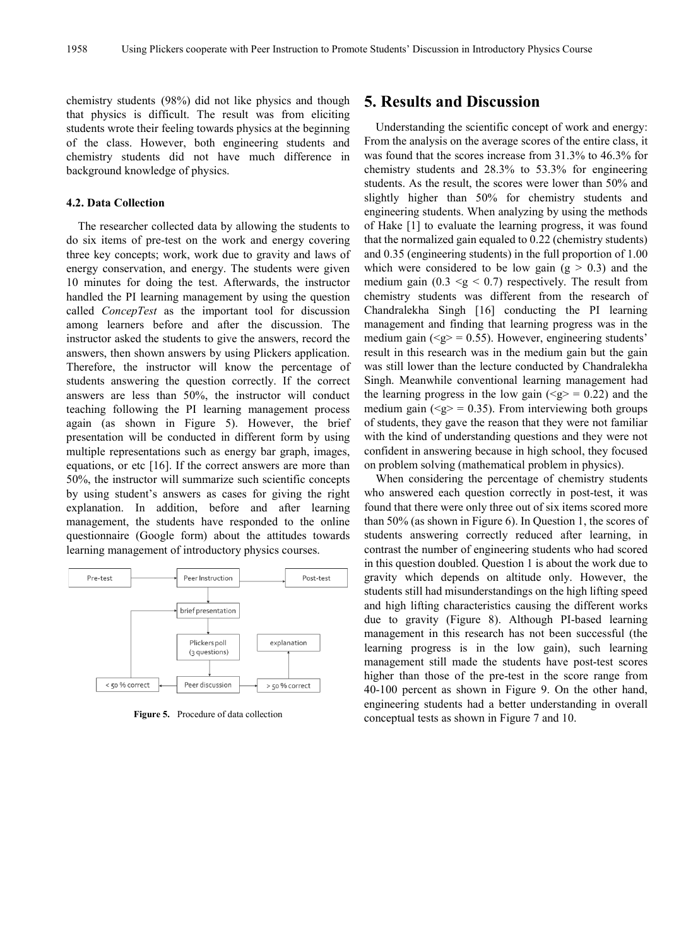chemistry students (98%) did not like physics and though that physics is difficult. The result was from eliciting students wrote their feeling towards physics at the beginning of the class. However, both engineering students and chemistry students did not have much difference in background knowledge of physics.

#### **4.2. Data Collection**

The researcher collected data by allowing the students to do six items of pre-test on the work and energy covering three key concepts; work, work due to gravity and laws of energy conservation, and energy. The students were given 10 minutes for doing the test. Afterwards, the instructor handled the PI learning management by using the question called *ConcepTest* as the important tool for discussion among learners before and after the discussion. The instructor asked the students to give the answers, record the answers, then shown answers by using Plickers application. Therefore, the instructor will know the percentage of students answering the question correctly. If the correct answers are less than 50%, the instructor will conduct teaching following the PI learning management process again (as shown in Figure 5). However, the brief presentation will be conducted in different form by using multiple representations such as energy bar graph, images, equations, or etc [16]. If the correct answers are more than 50%, the instructor will summarize such scientific concepts by using student's answers as cases for giving the right explanation. In addition, before and after learning management, the students have responded to the online questionnaire (Google form) about the attitudes towards learning management of introductory physics courses.



**Figure 5.** Procedure of data collection

### **5. Results and Discussion**

Understanding the scientific concept of work and energy: From the analysis on the average scores of the entire class, it was found that the scores increase from 31.3% to 46.3% for chemistry students and 28.3% to 53.3% for engineering students. As the result, the scores were lower than 50% and slightly higher than 50% for chemistry students and engineering students. When analyzing by using the methods of Hake [1] to evaluate the learning progress, it was found that the normalized gain equaled to 0.22 (chemistry students) and 0.35 (engineering students) in the full proportion of 1.00 which were considered to be low gain  $(g > 0.3)$  and the medium gain  $(0.3 \le g \le 0.7)$  respectively. The result from chemistry students was different from the research of Chandralekha Singh [16] conducting the PI learning management and finding that learning progress was in the medium gain ( $\leq g$ ) = 0.55). However, engineering students' result in this research was in the medium gain but the gain was still lower than the lecture conducted by Chandralekha Singh. Meanwhile conventional learning management had the learning progress in the low gain  $(\leq g \geq 0.22)$  and the medium gain ( $\leq g$  = 0.35). From interviewing both groups of students, they gave the reason that they were not familiar with the kind of understanding questions and they were not confident in answering because in high school, they focused on problem solving (mathematical problem in physics).

When considering the percentage of chemistry students who answered each question correctly in post-test, it was found that there were only three out of six items scored more than 50% (as shown in Figure 6). In Question 1, the scores of students answering correctly reduced after learning, in contrast the number of engineering students who had scored in this question doubled. Question 1 is about the work due to gravity which depends on altitude only. However, the students still had misunderstandings on the high lifting speed and high lifting characteristics causing the different works due to gravity (Figure 8). Although PI-based learning management in this research has not been successful (the learning progress is in the low gain), such learning management still made the students have post-test scores higher than those of the pre-test in the score range from 40-100 percent as shown in Figure 9. On the other hand, engineering students had a better understanding in overall conceptual tests as shown in Figure 7 and 10.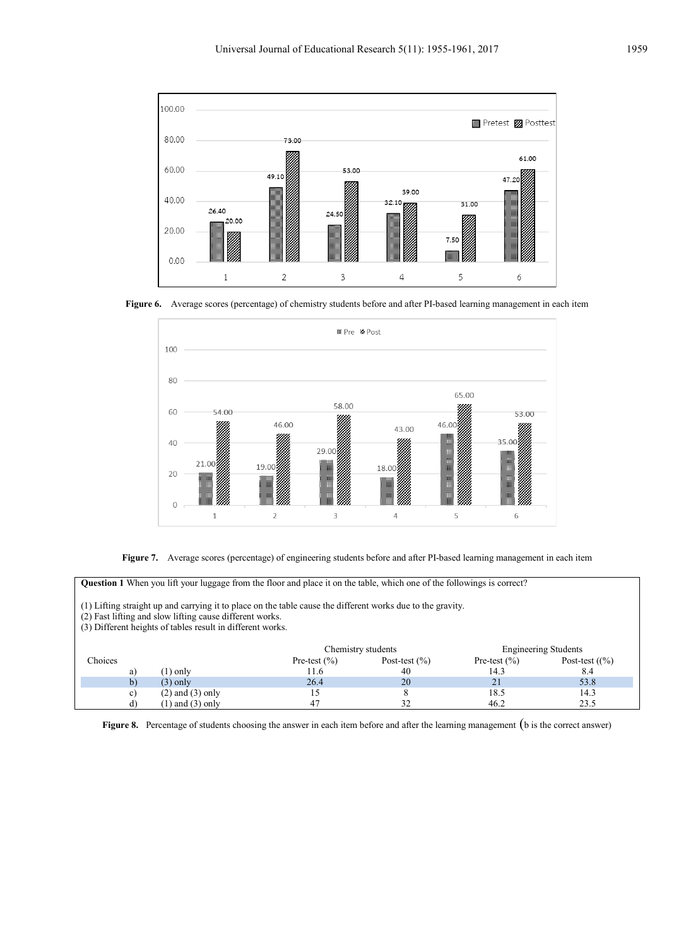

**Figure 6.** Average scores (percentage) of chemistry students before and after PI-based learning management in each item



**Figure 7.** Average scores (percentage) of engineering students before and after PI-based learning management in each item

**Question 1** When you lift your luggage from the floor and place it on the table, which one of the followings is correct?

(1) Lifting straight up and carrying it to place on the table cause the different works due to the gravity.

(2) Fast lifting and slow lifting cause different works.

(3) Different heights of tables result in different works.

|         |                      |                  | Chemistry students |                  | <b>Engineering Students</b> |  |
|---------|----------------------|------------------|--------------------|------------------|-----------------------------|--|
| Choices |                      | Pre-test $(\% )$ | Post-test $(\% )$  | Pre-test $(\% )$ | Post-test $(\frac{6}{6})$   |  |
| a)      | , 1) only            |                  | 40                 | 14.3             | 8.4                         |  |
|         | $(3)$ only           | 26.4             | 20                 | 21               | 53.8                        |  |
| C)      | $(2)$ and $(3)$ only |                  |                    | 18.5             | 14.3                        |  |
|         | 1) and $(3)$ only    |                  | ے ر                | 46.2             | 23.5                        |  |

**Figure 8.** Percentage of students choosing the answer in each item before and after the learning management (b is the correct answer)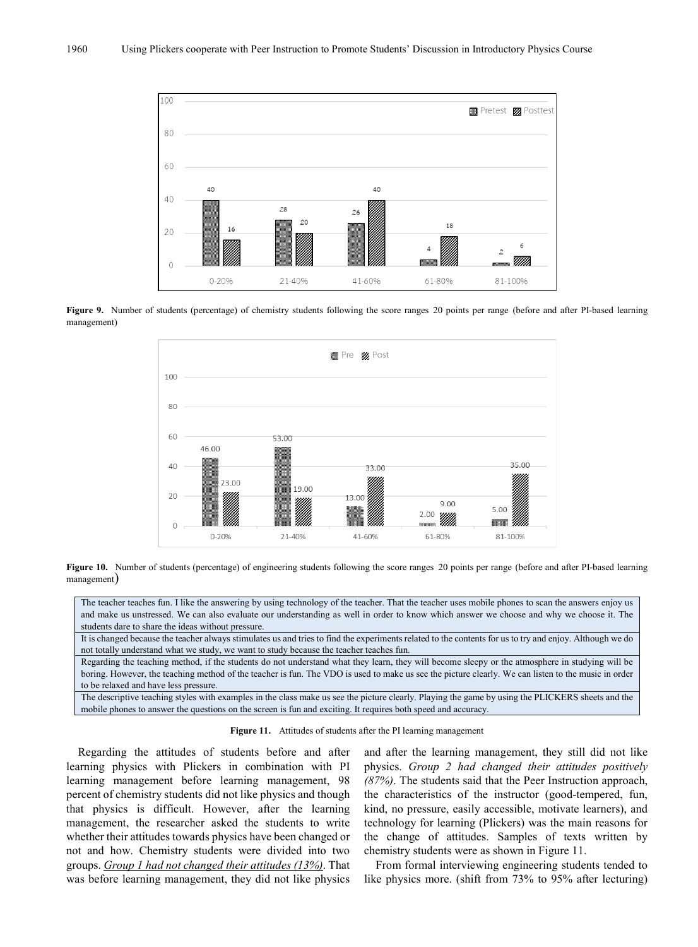

Figure 9. Number of students (percentage) of chemistry students following the score ranges 20 points per range (before and after PI-based learning management)



Figure 10. Number of students (percentage) of engineering students following the score ranges 20 points per range (before and after PI-based learning management)

The teacher teaches fun. I like the answering by using technology of the teacher. That the teacher uses mobile phones to scan the answers enjoy us and make us unstressed. We can also evaluate our understanding as well in order to know which answer we choose and why we choose it. The students dare to share the ideas without pressure.

It is changed because the teacher always stimulates us and tries to find the experiments related to the contents for us to try and enjoy. Although we do not totally understand what we study, we want to study because the teacher teaches fun.

Regarding the teaching method, if the students do not understand what they learn, they will become sleepy or the atmosphere in studying will be boring. However, the teaching method of the teacher is fun. The VDO is used to make us see the picture clearly. We can listen to the music in order to be relaxed and have less pressure.

The descriptive teaching styles with examples in the class make us see the picture clearly. Playing the game by using the PLICKERS sheets and the mobile phones to answer the questions on the screen is fun and exciting. It requires both speed and accuracy.

**Figure 11.** Attitudes of students after the PI learning management

Regarding the attitudes of students before and after learning physics with Plickers in combination with PI learning management before learning management, 98 percent of chemistry students did not like physics and though that physics is difficult. However, after the learning management, the researcher asked the students to write whether their attitudes towards physics have been changed or not and how. Chemistry students were divided into two groups. *Group 1 had not changed their attitudes (13%)*. That was before learning management, they did not like physics and after the learning management, they still did not like physics. *Group 2 had changed their attitudes positively (87%)*. The students said that the Peer Instruction approach, the characteristics of the instructor (good-tempered, fun, kind, no pressure, easily accessible, motivate learners), and technology for learning (Plickers) was the main reasons for the change of attitudes. Samples of texts written by chemistry students were as shown in Figure 11.

From formal interviewing engineering students tended to like physics more. (shift from 73% to 95% after lecturing)